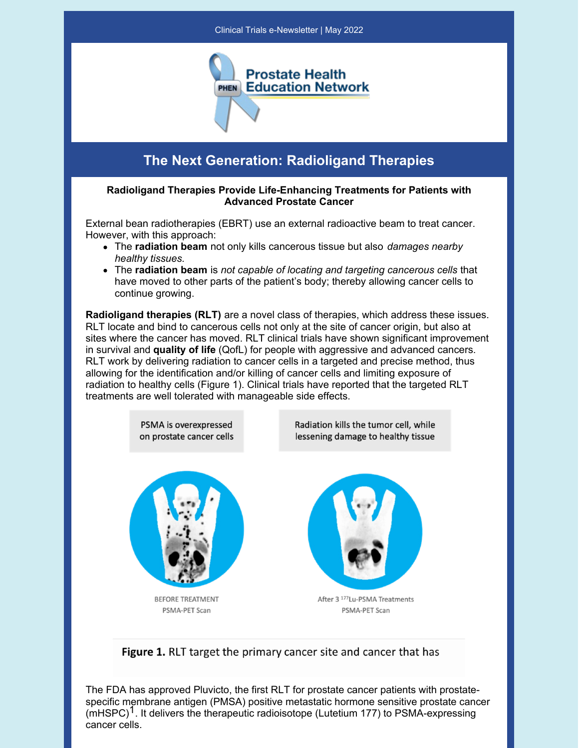

## **The Next Generation: Radioligand Therapies**

## **Radioligand Therapies Provide Life-Enhancing Treatments for Patients with Advanced Prostate Cancer**

External bean radiotherapies (EBRT) use an external radioactive beam to treat cancer. However, with this approach:

- The **radiation beam** not only kills cancerous tissue but also *damages nearby healthy tissues.*
- The **radiation beam** is *not capable of locating and targeting cancerous cells* that have moved to other parts of the patient's body; thereby allowing cancer cells to continue growing.

**Radioligand therapies (RLT)** are a novel class of therapies, which address these issues. RLT locate and bind to cancerous cells not only at the site of cancer origin, but also at sites where the cancer has moved. RLT clinical trials have shown significant improvement in survival and **quality of life** (QofL) for people with aggressive and advanced cancers. RLT work by delivering radiation to cancer cells in a targeted and precise method, thus allowing for the identification and/or killing of cancer cells and limiting exposure of radiation to healthy cells (Figure 1). Clinical trials have reported that the targeted RLT treatments are well tolerated with manageable side effects.





The FDA has approved Pluvicto, the first RLT for prostate cancer patients with prostatespecific membrane antigen (PMSA) positive metastatic hormone sensitive prostate cancer  $(mHSPC)<sup>1</sup>$ . It delivers the therapeutic radioisotope (Lutetium 177) to PSMA-expressing cancer cells.